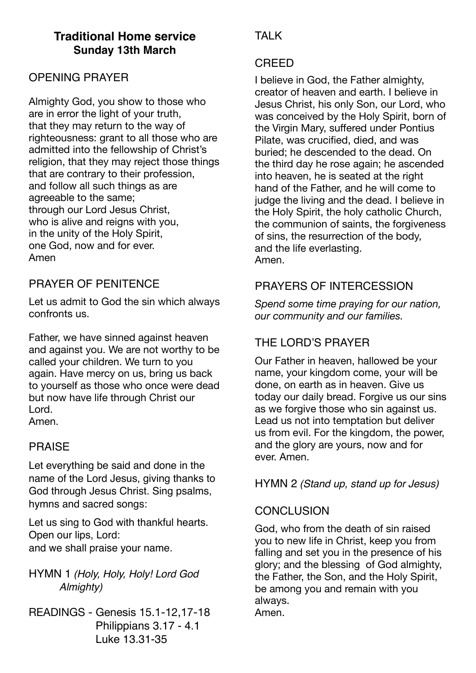# **Traditional Home service Sunday 13th March**

### OPENING PRAYER

Almighty God, you show to those who are in error the light of your truth, that they may return to the way of righteousness: grant to all those who are admitted into the fellowship of Christ's religion, that they may reject those things that are contrary to their profession, and follow all such things as are agreeable to the same; through our Lord Jesus Christ, who is alive and reigns with you, in the unity of the Holy Spirit, one God, now and for ever. Amen

### PRAYER OF PENITENCE

Let us admit to God the sin which always confronts us.

Father, we have sinned against heaven and against you. We are not worthy to be called your children. We turn to you again. Have mercy on us, bring us back to yourself as those who once were dead but now have life through Christ our Lord.

Amen.

#### PRAISE

Let everything be said and done in the name of the Lord Jesus, giving thanks to God through Jesus Christ. Sing psalms, hymns and sacred songs:

Let us sing to God with thankful hearts. Open our lips, Lord: and we shall praise your name.

HYMN 1 *(Holy, Holy, Holy! Lord God Almighty)*

READINGS - Genesis 15.1-12,17-18 Philippians 3.17 - 4.1 Luke 13.31-35

# TAI K

#### CREED

I believe in God, the Father almighty, creator of heaven and earth. I believe in Jesus Christ, his only Son, our Lord, who was conceived by the Holy Spirit, born of the Virgin Mary, suffered under Pontius Pilate, was crucified, died, and was buried; he descended to the dead. On the third day he rose again; he ascended into heaven, he is seated at the right hand of the Father, and he will come to judge the living and the dead. I believe in the Holy Spirit, the holy catholic Church, the communion of saints, the forgiveness of sins, the resurrection of the body, and the life everlasting. Amen.

## PRAYERS OF INTERCESSION

*Spend some time praying for our nation, our community and our families.* 

# THE LORD'S PRAYER

Our Father in heaven, hallowed be your name, your kingdom come, your will be done, on earth as in heaven. Give us today our daily bread. Forgive us our sins as we forgive those who sin against us. Lead us not into temptation but deliver us from evil. For the kingdom, the power, and the glory are yours, now and for ever. Amen.

HYMN 2 *(Stand up, stand up for Jesus)*

## **CONCLUSION**

God, who from the death of sin raised you to new life in Christ, keep you from falling and set you in the presence of his glory; and the blessing of God almighty, the Father, the Son, and the Holy Spirit, be among you and remain with you always. Amen.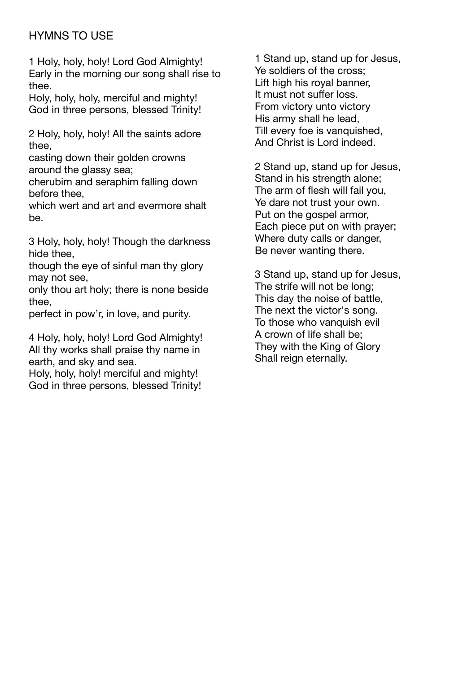## HYMNS TO USE

1 Holy, holy, holy! Lord God Almighty! Early in the morning our song shall rise to thee.

Holy, holy, holy, merciful and mighty! God in three persons, blessed Trinity!

2 Holy, holy, holy! All the saints adore thee,

casting down their golden crowns around the glassy sea;

cherubim and seraphim falling down before thee,

which wert and art and evermore shalt be.

3 Holy, holy, holy! Though the darkness hide thee,

though the eye of sinful man thy glory may not see,

only thou art holy; there is none beside thee,

perfect in pow'r, in love, and purity.

4 Holy, holy, holy! Lord God Almighty! All thy works shall praise thy name in earth, and sky and sea.

Holy, holy, holy! merciful and mighty! God in three persons, blessed Trinity!

1 Stand up, stand up for Jesus, Ye soldiers of the cross; Lift high his royal banner, It must not suffer loss. From victory unto victory His army shall he lead, Till every foe is vanquished, And Christ is Lord indeed.

2 Stand up, stand up for Jesus, Stand in his strength alone; The arm of flesh will fail you, Ye dare not trust your own. Put on the gospel armor, Each piece put on with prayer; Where duty calls or danger, Be never wanting there.

3 Stand up, stand up for Jesus, The strife will not be long; This day the noise of battle, The next the victor's song. To those who vanquish evil A crown of life shall be; They with the King of Glory Shall reign eternally.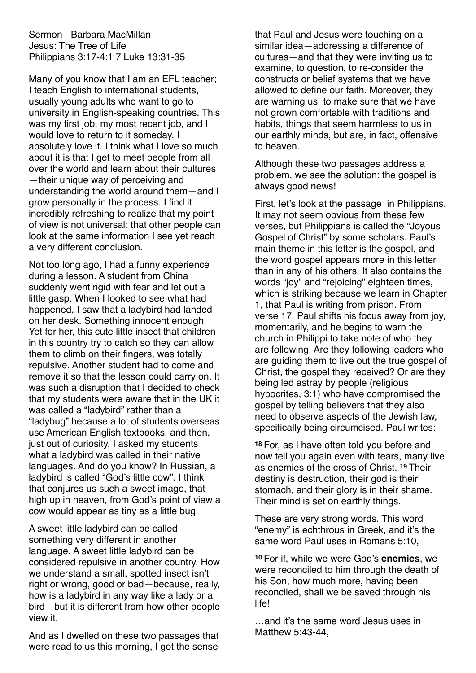Sermon - Barbara MacMillan Jesus: The Tree of Life Philippians 3:17-4:1 7 Luke 13:31-35

Many of you know that I am an EFL teacher; I teach English to international students, usually young adults who want to go to university in English-speaking countries. This was my first job, my most recent job, and I would love to return to it someday. I absolutely love it. I think what I love so much about it is that I get to meet people from all over the world and learn about their cultures —their unique way of perceiving and understanding the world around them—and I grow personally in the process. I find it incredibly refreshing to realize that my point of view is not universal; that other people can look at the same information I see yet reach a very different conclusion.

Not too long ago, I had a funny experience during a lesson. A student from China suddenly went rigid with fear and let out a little gasp. When I looked to see what had happened, I saw that a ladybird had landed on her desk. Something innocent enough. Yet for her, this cute little insect that children in this country try to catch so they can allow them to climb on their fingers, was totally repulsive. Another student had to come and remove it so that the lesson could carry on. It was such a disruption that I decided to check that my students were aware that in the UK it was called a "ladybird" rather than a "ladybug" because a lot of students overseas use American English textbooks, and then, just out of curiosity, I asked my students what a ladybird was called in their native languages. And do you know? In Russian, a ladybird is called "God's little cow". I think that conjures us such a sweet image, that high up in heaven, from God's point of view a cow would appear as tiny as a little bug.

A sweet little ladybird can be called something very different in another language. A sweet little ladybird can be considered repulsive in another country. How we understand a small, spotted insect isn't right or wrong, good or bad—because, really, how is a ladybird in any way like a lady or a bird—but it is different from how other people view it.

And as I dwelled on these two passages that were read to us this morning, I got the sense

that Paul and Jesus were touching on a similar idea—addressing a difference of cultures—and that they were inviting us to examine, to question, to re-consider the constructs or belief systems that we have allowed to define our faith. Moreover, they are warning us to make sure that we have not grown comfortable with traditions and habits, things that seem harmless to us in our earthly minds, but are, in fact, offensive to heaven.

Although these two passages address a problem, we see the solution: the gospel is always good news!

First, let's look at the passage in Philippians. It may not seem obvious from these few verses, but Philippians is called the "Joyous Gospel of Christ" by some scholars. Paul's main theme in this letter is the gospel, and the word gospel appears more in this letter than in any of his others. It also contains the words "joy" and "rejoicing" eighteen times, which is striking because we learn in Chapter 1, that Paul is writing from prison. From verse 17, Paul shifts his focus away from joy, momentarily, and he begins to warn the church in Philippi to take note of who they are following. Are they following leaders who are guiding them to live out the true gospel of Christ, the gospel they received? Or are they being led astray by people (religious hypocrites, 3:1) who have compromised the gospel by telling believers that they also need to observe aspects of the Jewish law, specifically being circumcised. Paul writes:

**<sup>18</sup>** For, as I have often told you before and now tell you again even with tears, many live as enemies of the cross of Christ. **<sup>19</sup>** Their destiny is destruction, their god is their stomach, and their glory is in their shame. Their mind is set on earthly things.

These are very strong words. This word "enemy" is echthrous in Greek, and it's the same word Paul uses in Romans 5:10,

**<sup>10</sup>** For if, while we were God's **enemies**, we were reconciled to him through the death of his Son, how much more, having been reconciled, shall we be saved through his life!

…and it's the same word Jesus uses in Matthew 5:43-44,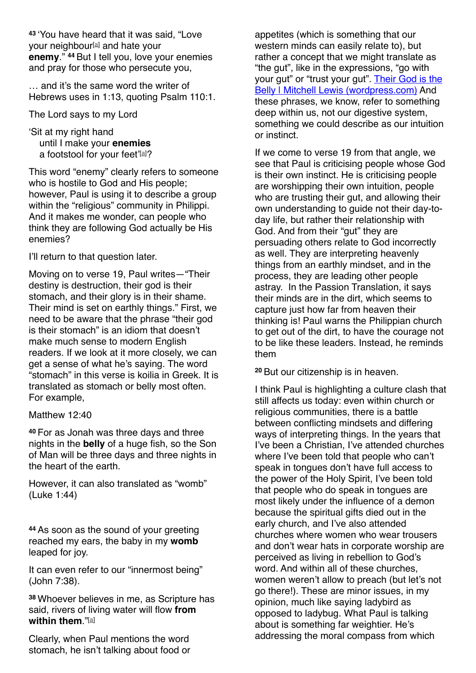**<sup>43</sup>** 'You have heard that it was said, "Love your neighbour<sup>[\[a\]](https://www.biblegateway.com/passage/?search=Matthew%25205%253A42%252D44&version=NIVUK#fen-NIVUK-23278a)</sup> and hate your **enemy**." **<sup>44</sup>** But I tell you, love your enemies and pray for those who persecute you,

… and it's the same word the writer of Hebrews uses in 1:13, quoting Psalm 110:1.

The Lord says to my Lord

'Sit at my right hand until I make your **enemies** [a](https://www.biblegateway.com/passage/?search=Hebrews+1%253A13&version=NIVUK#fen-NIVUK-29977a) footstool for your feet'[a]?

This word "enemy" clearly refers to someone who is hostile to God and His people; however, Paul is using it to describe a group within the "religious" community in Philippi. And it makes me wonder, can people who think they are following God actually be His enemies?

I'll return to that question later.

Moving on to verse 19, Paul writes—"Their destiny is destruction, their god is their stomach, and their glory is in their shame. Their mind is set on earthly things." First, we need to be aware that the phrase "their god is their stomach" is an idiom that doesn't make much sense to modern English readers. If we look at it more closely, we can get a sense of what he's saying. The word "stomach" in this verse is koilia in Greek. It is translated as stomach or belly most often. For example,

Matthew 12:40

**<sup>40</sup>** For as Jonah was three days and three nights in the **belly** of a huge fish, so the Son of Man will be three days and three nights in the heart of the earth.

However, it can also translated as "womb" (Luke 1:44)

**<sup>44</sup>** As soon as the sound of your greeting reached my ears, the baby in my **womb**  leaped for joy.

It can even refer to our "innermost being" (John 7:38).

**<sup>38</sup>** Whoever believes in me, as Scripture has said, rivers of living water will flow **from within them**."[\[a\]](https://www.biblegateway.com/passage/?search=John+7%253A38&version=NIV#fen-NIV-26367a)

Clearly, when Paul mentions the word stomach, he isn't talking about food or

appetites (which is something that our western minds can easily relate to), but rather a concept that we might translate as "the gut", like in the expressions, "go with [your gut" or "trust your gut". Their God is the](https://milewis.wordpress.com/2013/03/14/their-god-is-the-belly/)  [Belly | Mitchell Lewis \(wordpress.com\)](https://milewis.wordpress.com/2013/03/14/their-god-is-the-belly/) And these phrases, we know, refer to something deep within us, not our digestive system, something we could describe as our intuition or instinct.

If we come to verse 19 from that angle, we see that Paul is criticising people whose God is their own instinct. He is criticising people are worshipping their own intuition, people who are trusting their gut, and allowing their own understanding to guide not their day-today life, but rather their relationship with God. And from their "gut" they are persuading others relate to God incorrectly as well. They are interpreting heavenly things from an earthly mindset, and in the process, they are leading other people astray. In the Passion Translation, it says their minds are in the dirt, which seems to capture just how far from heaven their thinking is! Paul warns the Philippian church to get out of the dirt, to have the courage not to be like these leaders. Instead, he reminds them

**<sup>20</sup>** But our citizenship is in heaven.

I think Paul is highlighting a culture clash that still affects us today: even within church or religious communities, there is a battle between conflicting mindsets and differing ways of interpreting things. In the years that I've been a Christian, I've attended churches where I've been told that people who can't speak in tongues don't have full access to the power of the Holy Spirit, I've been told that people who do speak in tongues are most likely under the influence of a demon because the spiritual gifts died out in the early church, and I've also attended churches where women who wear trousers and don't wear hats in corporate worship are perceived as living in rebellion to God's word. And within all of these churches, women weren't allow to preach (but let's not go there!). These are minor issues, in my opinion, much like saying ladybird as opposed to ladybug. What Paul is talking about is something far weightier. He's addressing the moral compass from which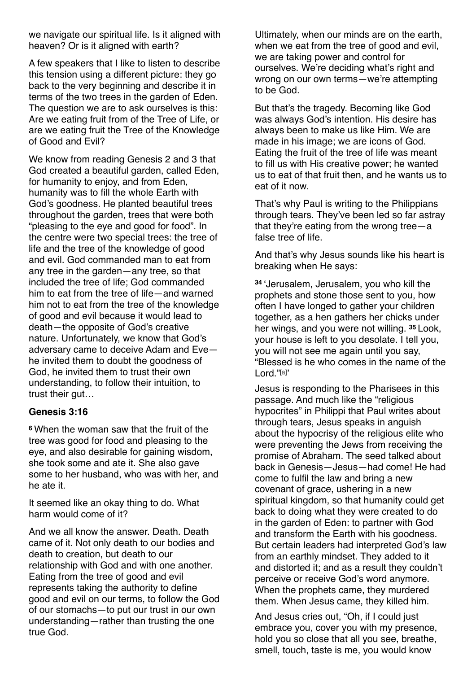we navigate our spiritual life. Is it aligned with heaven? Or is it aligned with earth?

A few speakers that I like to listen to describe this tension using a different picture: they go back to the very beginning and describe it in terms of the two trees in the garden of Eden. The question we are to ask ourselves is this: Are we eating fruit from of the Tree of Life, or are we eating fruit the Tree of the Knowledge of Good and Evil?

We know from reading Genesis 2 and 3 that God created a beautiful garden, called Eden, for humanity to enjoy, and from Eden, humanity was to fill the whole Earth with God's goodness. He planted beautiful trees throughout the garden, trees that were both "pleasing to the eye and good for food". In the centre were two special trees: the tree of life and the tree of the knowledge of good and evil. God commanded man to eat from any tree in the garden—any tree, so that included the tree of life; God commanded him to eat from the tree of life—and warned him not to eat from the tree of the knowledge of good and evil because it would lead to death—the opposite of God's creative nature. Unfortunately, we know that God's adversary came to deceive Adam and Eve he invited them to doubt the goodness of God, he invited them to trust their own understanding, to follow their intuition, to trust their gut…

#### **Genesis 3:16**

**<sup>6</sup>** When the woman saw that the fruit of the tree was good for food and pleasing to the eye, and also desirable for gaining wisdom, she took some and ate it. She also gave some to her husband, who was with her, and he ate it.

It seemed like an okay thing to do. What harm would come of it?

And we all know the answer. Death. Death came of it. Not only death to our bodies and death to creation, but death to our relationship with God and with one another. Eating from the tree of good and evil represents taking the authority to define good and evil on our terms, to follow the God of our stomachs—to put our trust in our own understanding—rather than trusting the one true God.

Ultimately, when our minds are on the earth, when we eat from the tree of good and evil, we are taking power and control for ourselves. We're deciding what's right and wrong on our own terms—we're attempting to be God.

But that's the tragedy. Becoming like God was always God's intention. His desire has always been to make us like Him. We are made in his image; we are icons of God. Eating the fruit of the tree of life was meant to fill us with His creative power; he wanted us to eat of that fruit then, and he wants us to eat of it now.

That's why Paul is writing to the Philippians through tears. They've been led so far astray that they're eating from the wrong tree—a false tree of life.

And that's why Jesus sounds like his heart is breaking when He says:

**<sup>34</sup>** 'Jerusalem, Jerusalem, you who kill the prophets and stone those sent to you, how often I have longed to gather your children together, as a hen gathers her chicks under her wings, and you were not willing. **<sup>35</sup>** Look, your house is left to you desolate. I tell you, you will not see me again until you say, "Blessed is he who comes in the name of the Lord."[\[a\]](https://www.biblegateway.com/passage/?search=Luke%252013&version=NIVUK#fen-NIVUK-25554a)'

Jesus is responding to the Pharisees in this passage. And much like the "religious hypocrites" in Philippi that Paul writes about through tears, Jesus speaks in anguish about the hypocrisy of the religious elite who were preventing the Jews from receiving the promise of Abraham. The seed talked about back in Genesis—Jesus—had come! He had come to fulfil the law and bring a new covenant of grace, ushering in a new spiritual kingdom, so that humanity could get back to doing what they were created to do in the garden of Eden: to partner with God and transform the Earth with his goodness. But certain leaders had interpreted God's law from an earthly mindset. They added to it and distorted it; and as a result they couldn't perceive or receive God's word anymore. When the prophets came, they murdered them. When Jesus came, they killed him.

And Jesus cries out, "Oh, if I could just embrace you, cover you with my presence, hold you so close that all you see, breathe, smell, touch, taste is me, you would know